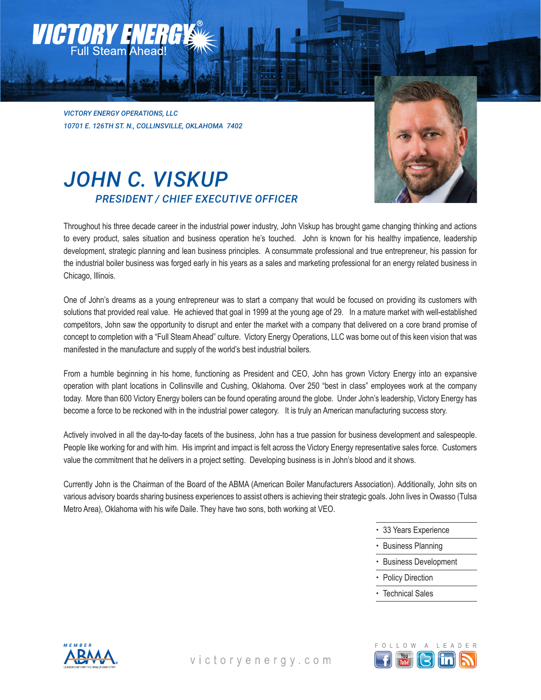*VICTORY ENERGY OPERATIONS, LLC 10701 E. 126TH ST. N., COLLINSVILLE, OKLAHOMA 7402*

### *JOHN C. VISKUP PRESIDENT / CHIEF EXECUTIVE OFFICER*



Throughout his three decade career in the industrial power industry, John Viskup has brought game changing thinking and actions to every product, sales situation and business operation he's touched. John is known for his healthy impatience, leadership development, strategic planning and lean business principles. A consummate professional and true entrepreneur, his passion for the industrial boiler business was forged early in his years as a sales and marketing professional for an energy related business in Chicago, Illinois.

One of John's dreams as a young entrepreneur was to start a company that would be focused on providing its customers with solutions that provided real value. He achieved that goal in 1999 at the young age of 29. In a mature market with well-established competitors, John saw the opportunity to disrupt and enter the market with a company that delivered on a core brand promise of concept to completion with a "Full Steam Ahead" culture. Victory Energy Operations, LLC was borne out of this keen vision that was manifested in the manufacture and supply of the world's best industrial boilers.

From a humble beginning in his home, functioning as President and CEO, John has grown Victory Energy into an expansive operation with plant locations in Collinsville and Cushing, Oklahoma. Over 250 "best in class" employees work at the company today. More than 600 Victory Energy boilers can be found operating around the globe. Under John's leadership, Victory Energy has become a force to be reckoned with in the industrial power category. It is truly an American manufacturing success story.

Actively involved in all the day-to-day facets of the business, John has a true passion for business development and salespeople. People like working for and with him. His imprint and impact is felt across the Victory Energy representative sales force. Customers value the commitment that he delivers in a project setting. Developing business is in John's blood and it shows.

Currently John is the Chairman of the Board of the ABMA (American Boiler Manufacturers Association). Additionally, John sits on various advisory boards sharing business experiences to assist others is achieving their strategic goals. John lives in Owasso (Tulsa Metro Area), Oklahoma with his wife Daile. They have two sons, both working at VEO.

- 33 Years Experience
- Business Planning
- Business Development
- Policy Direction
- Technical Sales



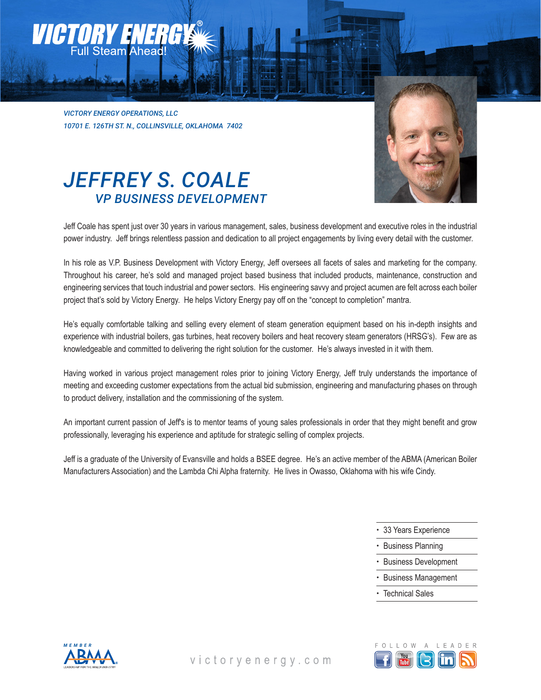*VICTORY ENERGY OPERATIONS, LLC 10701 E. 126TH ST. N., COLLINSVILLE, OKLAHOMA 7402*



# *JEFFREY S. COALE VP BUSINESS DEVELOPMENT*

Jeff Coale has spent just over 30 years in various management, sales, business development and executive roles in the industrial power industry. Jeff brings relentless passion and dedication to all project engagements by living every detail with the customer.

In his role as V.P. Business Development with Victory Energy, Jeff oversees all facets of sales and marketing for the company. Throughout his career, he's sold and managed project based business that included products, maintenance, construction and engineering services that touch industrial and power sectors. His engineering savvy and project acumen are felt across each boiler project that's sold by Victory Energy. He helps Victory Energy pay off on the "concept to completion" mantra.

He's equally comfortable talking and selling every element of steam generation equipment based on his in-depth insights and experience with industrial boilers, gas turbines, heat recovery boilers and heat recovery steam generators (HRSG's). Few are as knowledgeable and committed to delivering the right solution for the customer. He's always invested in it with them.

Having worked in various project management roles prior to joining Victory Energy, Jeff truly understands the importance of meeting and exceeding customer expectations from the actual bid submission, engineering and manufacturing phases on through to product delivery, installation and the commissioning of the system.

An important current passion of Jeff's is to mentor teams of young sales professionals in order that they might benefit and grow professionally, leveraging his experience and aptitude for strategic selling of complex projects.

Jeff is a graduate of the University of Evansville and holds a BSEE degree. He's an active member of the ABMA (American Boiler Manufacturers Association) and the Lambda Chi Alpha fraternity. He lives in Owasso, Oklahoma with his wife Cindy.

- 33 Years Experience
- Business Planning
- Business Development
- Business Management
- Technical Sales



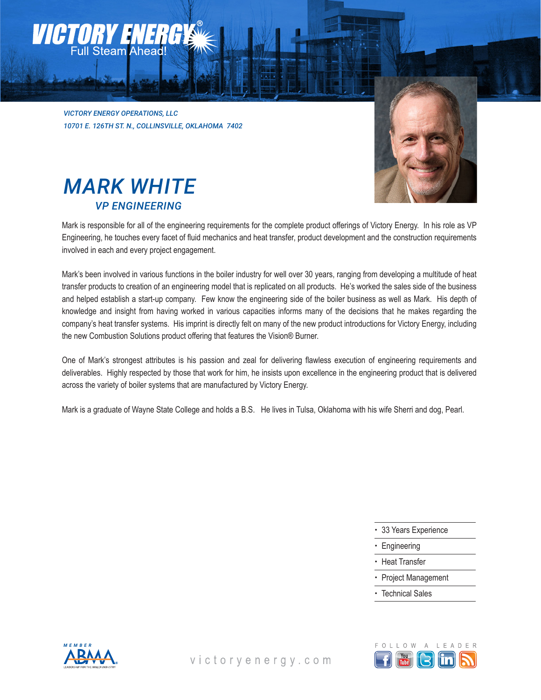*VICTORY ENERGY OPERATIONS, LLC 10701 E. 126TH ST. N., COLLINSVILLE, OKLAHOMA 7402*



# *MARK WHITE VP ENGINEERING*

Mark is responsible for all of the engineering requirements for the complete product offerings of Victory Energy. In his role as VP Engineering, he touches every facet of fluid mechanics and heat transfer, product development and the construction requirements involved in each and every project engagement.

Mark's been involved in various functions in the boiler industry for well over 30 years, ranging from developing a multitude of heat transfer products to creation of an engineering model that is replicated on all products. He's worked the sales side of the business and helped establish a start-up company. Few know the engineering side of the boiler business as well as Mark. His depth of knowledge and insight from having worked in various capacities informs many of the decisions that he makes regarding the company's heat transfer systems. His imprint is directly felt on many of the new product introductions for Victory Energy, including the new Combustion Solutions product offering that features the Vision® Burner.

One of Mark's strongest attributes is his passion and zeal for delivering flawless execution of engineering requirements and deliverables. Highly respected by those that work for him, he insists upon excellence in the engineering product that is delivered across the variety of boiler systems that are manufactured by Victory Energy.

Mark is a graduate of Wayne State College and holds a B.S. He lives in Tulsa, Oklahoma with his wife Sherri and dog, Pearl.

- 33 Years Experience
- Engineering
- Heat Transfer
- Project Management
- Technical Sales



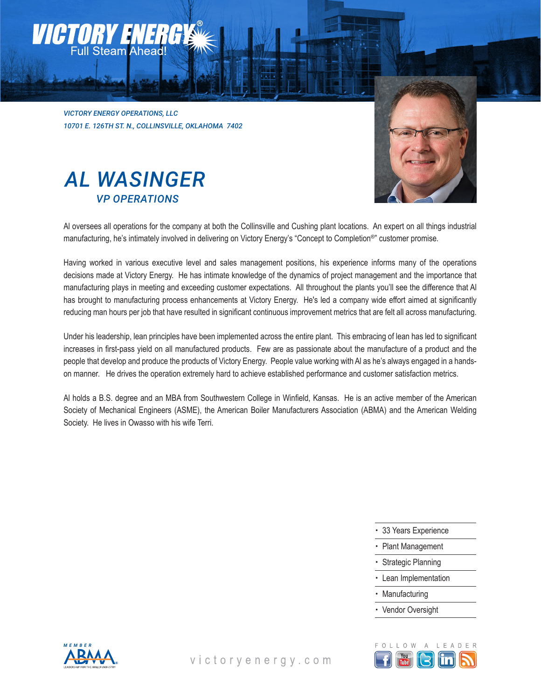*VICTORY ENERGY OPERATIONS, LLC 10701 E. 126TH ST. N., COLLINSVILLE, OKLAHOMA 7402*

### *AL WASINGER VP OPERATIONS*



Al oversees all operations for the company at both the Collinsville and Cushing plant locations. An expert on all things industrial manufacturing, he's intimately involved in delivering on Victory Energy's "Concept to Completion®" customer promise.

Having worked in various executive level and sales management positions, his experience informs many of the operations decisions made at Victory Energy. He has intimate knowledge of the dynamics of project management and the importance that manufacturing plays in meeting and exceeding customer expectations. All throughout the plants you'll see the difference that Al has brought to manufacturing process enhancements at Victory Energy. He's led a company wide effort aimed at significantly reducing man hours per job that have resulted in significant continuous improvement metrics that are felt all across manufacturing.

Under his leadership, lean principles have been implemented across the entire plant. This embracing of lean has led to significant increases in first-pass yield on all manufactured products. Few are as passionate about the manufacture of a product and the people that develop and produce the products of Victory Energy. People value working with Al as he's always engaged in a handson manner. He drives the operation extremely hard to achieve established performance and customer satisfaction metrics.

Al holds a B.S. degree and an MBA from Southwestern College in Winfield, Kansas. He is an active member of the American Society of Mechanical Engineers (ASME), the American Boiler Manufacturers Association (ABMA) and the American Welding Society. He lives in Owasso with his wife Terri.

- 33 Years Experience
- Plant Management
- Strategic Planning
- Lean Implementation
- **Manufacturing**
- Vendor Oversight



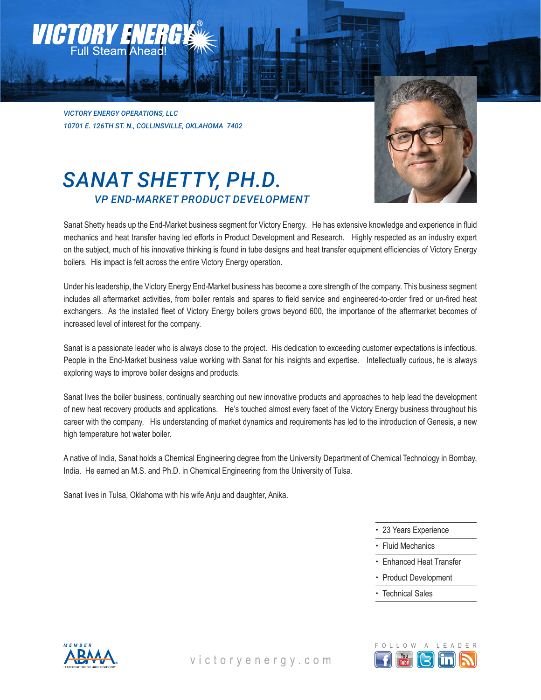#### *Victory Energy* Full Steam Ahead!

*VICTORY ENERGY OPERATIONS, LLC 10701 E. 126TH ST. N., COLLINSVILLE, OKLAHOMA 7402*

# *SANAT SHETTY, PH.D. VP END-MARKET PRODUCT DEVELOPMENT*



Sanat Shetty heads up the End-Market business segment for Victory Energy. He has extensive knowledge and experience in fluid mechanics and heat transfer having led efforts in Product Development and Research. Highly respected as an industry expert on the subject, much of his innovative thinking is found in tube designs and heat transfer equipment efficiencies of Victory Energy boilers. His impact is felt across the entire Victory Energy operation.

Under his leadership, the Victory Energy End-Market business has become a core strength of the company. This business segment includes all aftermarket activities, from boiler rentals and spares to field service and engineered-to-order fired or un-fired heat exchangers. As the installed fleet of Victory Energy boilers grows beyond 600, the importance of the aftermarket becomes of increased level of interest for the company.

Sanat is a passionate leader who is always close to the project. His dedication to exceeding customer expectations is infectious. People in the End-Market business value working with Sanat for his insights and expertise. Intellectually curious, he is always exploring ways to improve boiler designs and products.

Sanat lives the boiler business, continually searching out new innovative products and approaches to help lead the development of new heat recovery products and applications. He's touched almost every facet of the Victory Energy business throughout his career with the company. His understanding of market dynamics and requirements has led to the introduction of Genesis, a new high temperature hot water boiler.

A native of India, Sanat holds a Chemical Engineering degree from the University Department of Chemical Technology in Bombay, India. He earned an M.S. and Ph.D. in Chemical Engineering from the University of Tulsa.

Sanat lives in Tulsa, Oklahoma with his wife Anju and daughter, Anika.

- 23 Years Experience
- Fluid Mechanics
- Enhanced Heat Transfer
- Product Development
- Technical Sales



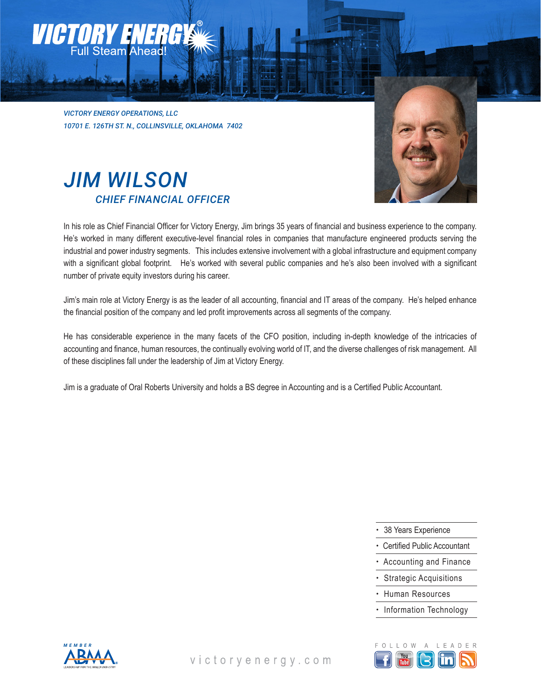*VICTORY ENERGY OPERATIONS, LLC 10701 E. 126TH ST. N., COLLINSVILLE, OKLAHOMA 7402*



# *JIM WILSON CHIEF FINANCIAL OFFICER*

In his role as Chief Financial Officer for Victory Energy, Jim brings 35 years of financial and business experience to the company. He's worked in many different executive-level financial roles in companies that manufacture engineered products serving the industrial and power industry segments. This includes extensive involvement with a global infrastructure and equipment company with a significant global footprint. He's worked with several public companies and he's also been involved with a significant number of private equity investors during his career.

Jim's main role at Victory Energy is as the leader of all accounting, financial and IT areas of the company. He's helped enhance the financial position of the company and led profit improvements across all segments of the company.

He has considerable experience in the many facets of the CFO position, including in-depth knowledge of the intricacies of accounting and finance, human resources, the continually evolving world of IT, and the diverse challenges of risk management. All of these disciplines fall under the leadership of Jim at Victory Energy.

Jim is a graduate of Oral Roberts University and holds a BS degree in Accounting and is a Certified Public Accountant.

- 38 Years Experience
- Certified Public Accountant
- Accounting and Finance
- Strategic Acquisitions
- Human Resources
- Information Technology



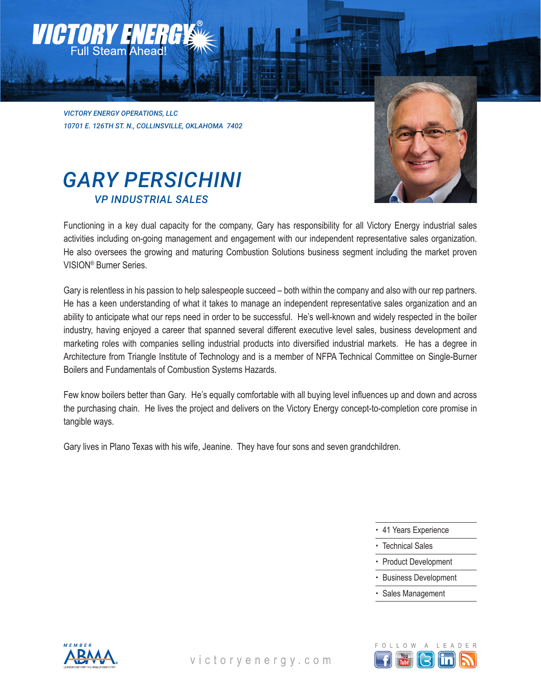### *Victory Energy* Full Steam Ahead!

*VICTORY ENERGY OPERATIONS, LLC 10701 E. 126TH ST. N., COLLINSVILLE, OKLAHOMA 7402*



# *GARY PERSICHINI VP INDUSTRIAL SALES*

Functioning in a key dual capacity for the company, Gary has responsibility for all Victory Energy industrial sales activities including on-going management and engagement with our independent representative sales organization. He also oversees the growing and maturing Combustion Solutions business segment including the market proven VISION® Burner Series.

Gary is relentless in his passion to help salespeople succeed – both within the company and also with our rep partners. He has a keen understanding of what it takes to manage an independent representative sales organization and an ability to anticipate what our reps need in order to be successful. He's well-known and widely respected in the boiler industry, having enjoyed a career that spanned several different executive level sales, business development and marketing roles with companies selling industrial products into diversified industrial markets. He has a degree in Architecture from Triangle Institute of Technology and is a member of NFPA Technical Committee on Single-Burner Boilers and Fundamentals of Combustion Systems Hazards.

Few know boilers better than Gary. He's equally comfortable with all buying level influences up and down and across the purchasing chain. He lives the project and delivers on the Victory Energy concept-to-completion core promise in tangible ways.

Gary lives in Plano Texas with his wife, Jeanine. They have four sons and seven grandchildren.

- 41 Years Experience
- Technical Sales
- Product Development
- Business Development
- Sales Management